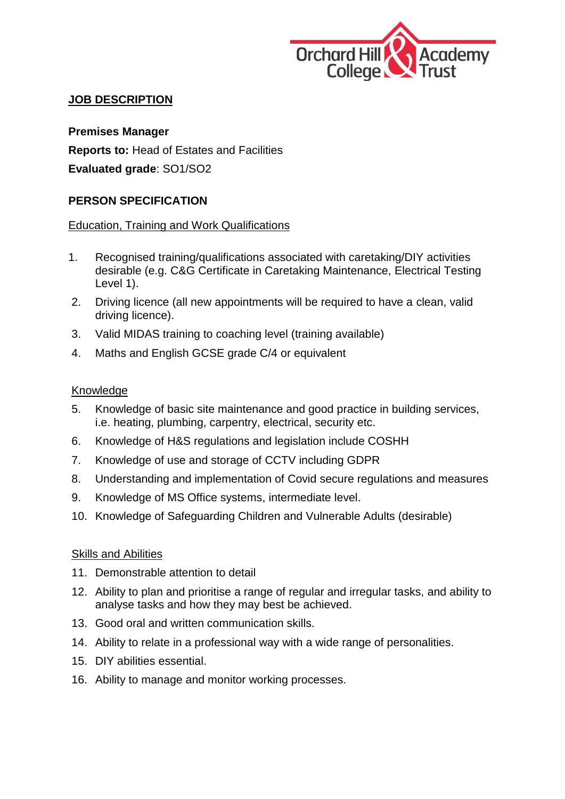

## **JOB DESCRIPTION**

**Premises Manager Reports to:** Head of Estates and Facilities **Evaluated grade**: SO1/SO2

## **PERSON SPECIFICATION**

### Education, Training and Work Qualifications

- 1. Recognised training/qualifications associated with caretaking/DIY activities desirable (e.g. C&G Certificate in Caretaking Maintenance, Electrical Testing Level 1).
- 2. Driving licence (all new appointments will be required to have a clean, valid driving licence).
- 3. Valid MIDAS training to coaching level (training available)
- 4. Maths and English GCSE grade C/4 or equivalent

### Knowledge

- 5. Knowledge of basic site maintenance and good practice in building services, i.e. heating, plumbing, carpentry, electrical, security etc.
- 6. Knowledge of H&S regulations and legislation include COSHH
- 7. Knowledge of use and storage of CCTV including GDPR
- 8. Understanding and implementation of Covid secure regulations and measures
- 9. Knowledge of MS Office systems, intermediate level.
- 10. Knowledge of Safeguarding Children and Vulnerable Adults (desirable)

#### Skills and Abilities

- 11. Demonstrable attention to detail
- 12. Ability to plan and prioritise a range of regular and irregular tasks, and ability to analyse tasks and how they may best be achieved.
- 13. Good oral and written communication skills.
- 14. Ability to relate in a professional way with a wide range of personalities.
- 15. DIY abilities essential.
- 16. Ability to manage and monitor working processes.